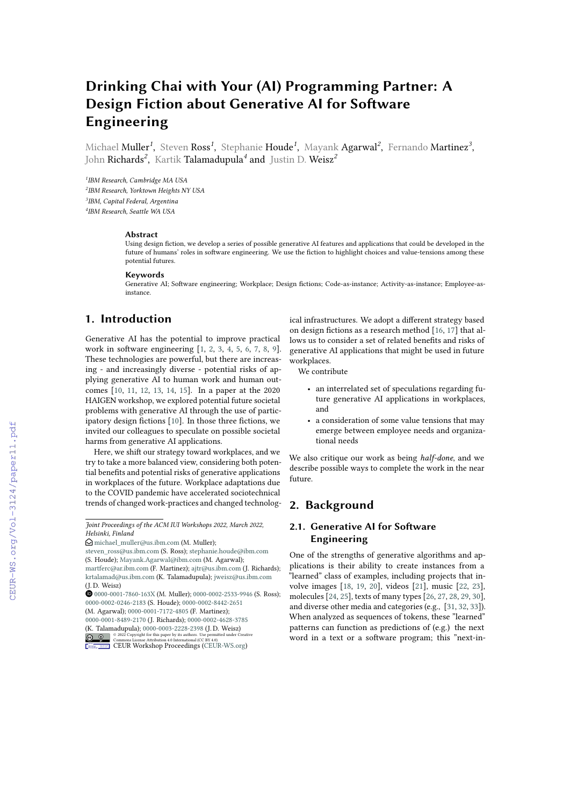# **Drinking Chai with Your (AI) Programming Partner: A Design Fiction about Generative AI for Software Engineering**

Michael Muller<sup>1</sup>, Steven Ross<sup>1</sup>, Stephanie Houde<sup>1</sup>, Mayank Agarwal<sup>2</sup>, Fernando Martinez<sup>3</sup>, John Richards*<sup>2</sup>* , Kartik Talamadupula*<sup>4</sup>* and Justin D. Weisz*<sup>2</sup>*

 *IBM Research, Cambridge MA USA IBM Research, Yorktown Heights NY USA IBM, Capital Federal, Argentina IBM Research, Seattle WA USA*

#### **Abstract**

Using design fiction, we develop a series of possible generative AI features and applications that could be developed in the future of humans' roles in software engineering. We use the fiction to highlight choices and value-tensions among these potential futures.

#### **Keywords**

Generative AI; Software engineering; Workplace; Design fictions; Code-as-instance; Activity-as-instance; Employee-asinstance.

# **1. Introduction**

Generative AI has the potential to improve practical work in software engineering [\[1,](#page--1-0) [2,](#page--1-1) [3,](#page--1-2) [4,](#page--1-3) [5,](#page--1-4) [6,](#page--1-5) [7,](#page--1-6) [8,](#page--1-7) [9\]](#page--1-8). These technologies are powerful, but there are increasing - and increasingly diverse - potential risks of applying generative AI to human work and human outcomes [\[10,](#page--1-9) [11,](#page--1-10) [12,](#page--1-11) [13,](#page--1-12) [14,](#page--1-13) [15\]](#page--1-14). In a paper at the 2020 HAIGEN workshop, we explored potential future societal problems with generative AI through the use of participatory design fictions [\[10\]](#page--1-9). In those three fictions, we invited our colleagues to speculate on possible societal harms from generative AI applications.

Here, we shift our strategy toward workplaces, and we try to take a more balanced view, considering both potential benefits and potential risks of generative applications in workplaces of the future. Workplace adaptations due to the COVID pandemic have accelerated sociotechnical trends of changed work-practices and changed technolog-

<sup>(</sup>K. Talamadupula); [0000-0003-2228-2398](https://orcid.org/0000-0003-2228-2398) (J. D. Weisz) © 2022 Copyright for this paper by its authors. Use permitted under Creative Commons License Attribution 4.0 International (CC BY 4.0).



[CEUR](https://creativecommons.org/licenses/by/4.0) Workshop [Proceedings](http://ceur-ws.org) [\(CEUR-WS.org\)](http://ceur-ws.org)

ical infrastructures. We adopt a different strategy based on design fictions as a research method [\[16,](#page--1-15) [17\]](#page--1-16) that allows us to consider a set of related benefits and risks of generative AI applications that might be used in future workplaces.

We contribute

- an interrelated set of speculations regarding future generative AI applications in workplaces, and
- a consideration of some value tensions that may emerge between employee needs and organizational needs

We also critique our work as being *half-done*, and we describe possible ways to complete the work in the near future.

# **2. Background**

## **2.1. Generative AI for Software Engineering**

One of the strengths of generative algorithms and applications is their ability to create instances from a "learned" class of examples, including projects that involve images [\[18,](#page--1-17) [19,](#page--1-18) [20\]](#page--1-19), videos [\[21\]](#page--1-20), music [\[22,](#page--1-21) [23\]](#page--1-22), molecules [\[24,](#page--1-23) [25\]](#page--1-24), texts of many types [\[26,](#page--1-25) [27,](#page--1-26) [28,](#page--1-27) [29,](#page--1-28) [30\]](#page--1-29), and diverse other media and categories (e.g., [\[31,](#page--1-30) [32,](#page--1-31) [33\]](#page--1-32)). When analyzed as sequences of tokens, these "learned" patterns can function as predictions of (e.g.) the next word in a text or a software program; this "next-in-

*Joint Proceedings of the ACM IUI Workshops 2022, March 2022, Helsinki, Finland*

 $\bigcirc$  [michael\\_muller@us.ibm.com](mailto:michael\protect \char 95\relax muller@us.ibm.com) (M. Muller);

[steven\\_ross@us.ibm.com](mailto:steven\protect \char 95\relax ross@us.ibm.com) (S. Ross); [stephanie.houde@ibm.com](mailto:stephanie.houde@ibm.com) (S. Houde); [Mayank.Agarwal@ibm.com](mailto:Mayank.Agarwal@ibm.com) (M. Agarwal); [martferc@ar.ibm.com](mailto:martferc@ar.ibm.com) (F. Martinez); [ajtr@us.ibm.com](mailto:ajtr@us.ibm.com) (J. Richards);

[krtalamad@us.ibm.com](mailto:krtalamad@us.ibm.com) (K. Talamadupula); [jweisz@us.ibm.com](mailto:jweisz@us.ibm.com) (J. D. Weisz)

 $\bullet$  [0000-0001-7860-163X](https://orcid.org/0000-0001-7860-163X) (M. Muller); [0000-0002-2533-9946](https://orcid.org/0000-0002-2533-9946) (S. Ross); [0000-0002-0246-2183](https://orcid.org/0000-0002-0246-2183) (S. Houde); [0000-0002-8442-2651](https://orcid.org/0000-0002-8442-2651)

<sup>(</sup>M. Agarwal); [0000-0001-7172-4805](https://orcid.org/0000-0001-7172-4805) (F. Martinez); [0000-0001-8489-2170](https://orcid.org/0000-0001-8489-2170) (J. Richards); [0000-0002-4628-3785](https://orcid.org/0000-0002-4628-3785)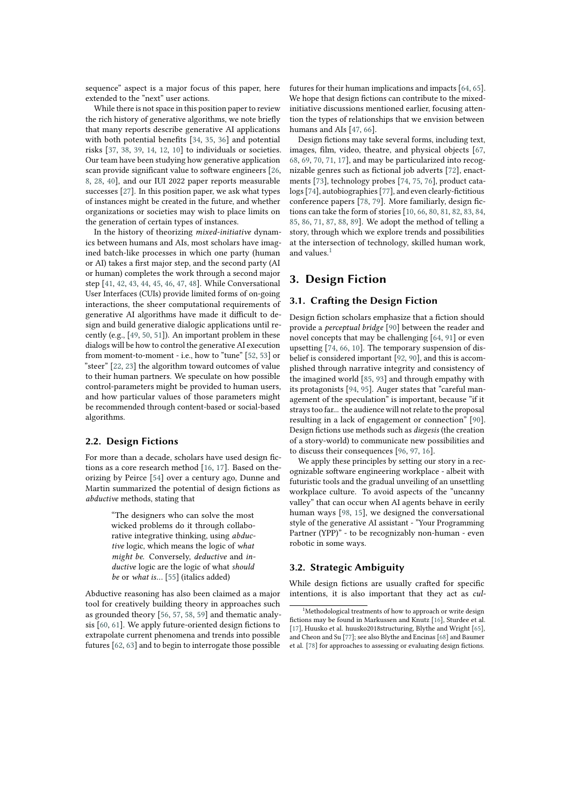sequence" aspect is a major focus of this paper, here extended to the "next" user actions.

While there is not space in this position paper to review the rich history of generative algorithms, we note briefly that many reports describe generative AI applications with both potential benefits [\[34,](#page-11-0) [35,](#page-11-1) [36\]](#page-11-2) and potential risks [\[37,](#page-11-3) [38,](#page-11-4) [39,](#page-11-5) [14,](#page-10-0) [12,](#page-10-1) [10\]](#page-10-2) to individuals or societies. Our team have been studying how generative application scan provide significant value to software engineers [\[26,](#page-10-3) [8,](#page-10-4) [28,](#page-10-5) [40\]](#page-11-6), and our IUI 2022 paper reports measurable successes [\[27\]](#page-10-6). In this position paper, we ask what types of instances might be created in the future, and whether organizations or societies may wish to place limits on the generation of certain types of instances.

In the history of theorizing *mixed-initiative* dynamics between humans and AIs, most scholars have imagined batch-like processes in which one party (human or AI) takes a first major step, and the second party (AI or human) completes the work through a second major step [\[41,](#page-11-7) [42,](#page-11-8) [43,](#page-11-9) [44,](#page-11-10) [45,](#page-11-11) [46,](#page-11-12) [47,](#page-11-13) [48\]](#page-11-14). While Conversational User Interfaces (CUIs) provide limited forms of on-going interactions, the sheer computational requirements of generative AI algorithms have made it difficult to design and build generative dialogic applications until recently (e.g., [\[49,](#page-11-15) [50,](#page-11-16) [51\]](#page-11-17)). An important problem in these dialogs will be how to control the generative AI execution from moment-to-moment - i.e., how to "tune" [\[52,](#page-11-18) [53\]](#page-11-19) or "steer" [\[22,](#page-10-7) [23\]](#page-10-8) the algorithm toward outcomes of value to their human partners. We speculate on how possible control-parameters might be provided to human users, and how particular values of those parameters might be recommended through content-based or social-based algorithms.

#### **2.2. Design Fictions**

For more than a decade, scholars have used design fictions as a core research method [\[16,](#page-10-9) [17\]](#page-10-10). Based on theorizing by Peirce [\[54\]](#page-11-20) over a century ago, Dunne and Martin summarized the potential of design fictions as *abductive* methods, stating that

> "The designers who can solve the most wicked problems do it through collaborative integrative thinking, using *abductive* logic, which means the logic of *what might be*. Conversely, *deductive* and *inductive* logic are the logic of what *should be* or *what is*… [\[55\]](#page-11-21) (italics added)

Abductive reasoning has also been claimed as a major tool for creatively building theory in approaches such as grounded theory [\[56,](#page-11-22) [57,](#page-11-23) [58,](#page-11-24) [59\]](#page-11-25) and thematic analysis [\[60,](#page-11-26) [61\]](#page-11-27). We apply future-oriented design fictions to extrapolate current phenomena and trends into possible futures [\[62,](#page-12-0) [63\]](#page-12-1) and to begin to interrogate those possible futures for their human implications and impacts [\[64,](#page-12-2) [65\]](#page-12-3). We hope that design fictions can contribute to the mixedinitiative discussions mentioned earlier, focusing attention the types of relationships that we envision between humans and AIs [\[47,](#page-11-13) [66\]](#page-12-4).

Design fictions may take several forms, including text, images, film, video, theatre, and physical objects [\[67,](#page-12-5) [68,](#page-12-6) [69,](#page-12-7) [70,](#page-12-8) [71,](#page-12-9) [17\]](#page-10-10), and may be particularized into recognizable genres such as fictional job adverts [\[72\]](#page-12-10), enactments [\[73\]](#page-12-11), technology probes [\[74,](#page-12-12) [75,](#page-12-13) [76\]](#page-12-14), product catalogs [\[74\]](#page-12-12), autobiographies [\[77\]](#page-12-15), and even clearly-fictitious conference papers [\[78,](#page-12-16) [79\]](#page-12-17). More familiarly, design fictions can take the form of stories [\[10,](#page-10-2) [66,](#page-12-4) [80,](#page-12-18) [81,](#page-12-19) [82,](#page-12-20) [83,](#page-12-21) [84,](#page-12-22) [85,](#page-12-23) [86,](#page-12-24) [71,](#page-12-9) [87,](#page-12-25) [88,](#page-13-0) [89\]](#page-13-1). We adopt the method of telling a story, through which we explore trends and possibilities at the intersection of technology, skilled human work, and values.<sup>[1](#page-1-0)</sup>

## **3. Design Fiction**

## **3.1. Crafting the Design Fiction**

Design fiction scholars emphasize that a fiction should provide a *perceptual bridge* [\[90\]](#page-13-2) between the reader and novel concepts that may be challenging [\[64,](#page-12-2) [91\]](#page-13-3) or even upsetting [\[74,](#page-12-12) [66,](#page-12-4) [10\]](#page-10-2). The temporary suspension of disbelief is considered important [\[92,](#page-13-4) [90\]](#page-13-2), and this is accomplished through narrative integrity and consistency of the imagined world [\[85,](#page-12-23) [93\]](#page-13-5) and through empathy with its protagonists [\[94,](#page-13-6) [95\]](#page-13-7). Auger states that "careful management of the speculation" is important, because "if it strays too far... the audience will not relate to the proposal resulting in a lack of engagement or connection" [\[90\]](#page-13-2). Design fictions use methods such as *diegesis* (the creation of a story-world) to communicate new possibilities and to discuss their consequences [\[96,](#page-13-8) [97,](#page-13-9) [16\]](#page-10-9).

We apply these principles by setting our story in a recognizable software engineering workplace - albeit with futuristic tools and the gradual unveiling of an unsettling workplace culture. To avoid aspects of the "uncanny valley" that can occur when AI agents behave in eerily human ways [\[98,](#page-13-10) [15\]](#page-10-11), we designed the conversational style of the generative AI assistant - "Your Programming Partner (YPP)" - to be recognizably non-human - even robotic in some ways.

## **3.2. Strategic Ambiguity**

While design fictions are usually crafted for specific intentions, it is also important that they act as *cul-*

<span id="page-1-0"></span> $<sup>1</sup>$ Methodological treatments of how to approach or write design</sup> fictions may be found in Markussen and Knutz [\[16\]](#page-10-9), Sturdee et al. [\[17\]](#page-10-10), Huusko et al. huusko2018structuring, Blythe and Wright [\[65\]](#page-12-3), and Cheon and Su [\[77\]](#page-12-15); see also Blythe and Encinas [\[68\]](#page-12-6) and Baumer et al. [\[78\]](#page-12-16) for approaches to assessing or evaluating design fictions.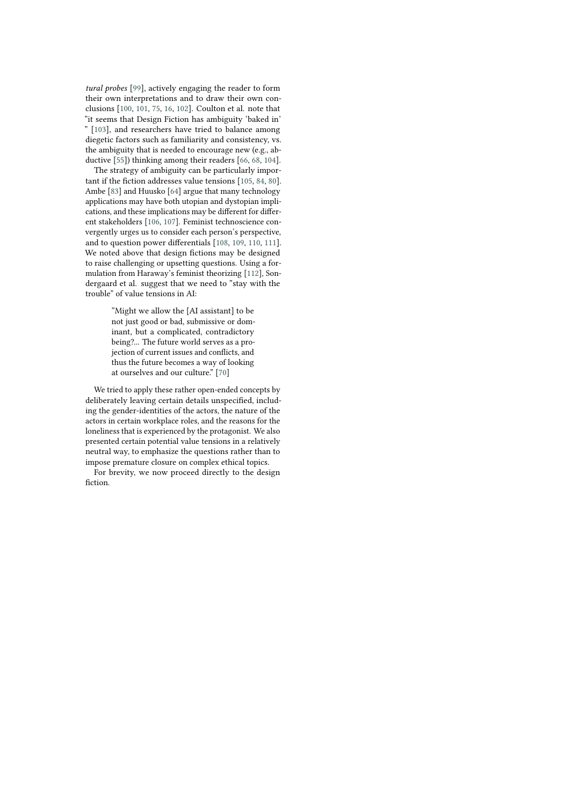*tural probes* [\[99\]](#page-13-11), actively engaging the reader to form their own interpretations and to draw their own conclusions [\[100,](#page-13-12) [101,](#page-13-13) [75,](#page-12-13) [16,](#page-10-9) [102\]](#page-13-14). Coulton et al. note that "it seems that Design Fiction has ambiguity 'baked in' " [\[103\]](#page-13-15), and researchers have tried to balance among diegetic factors such as familiarity and consistency, vs. the ambiguity that is needed to encourage new (e.g., abductive [\[55\]](#page-11-21)) thinking among their readers [\[66,](#page-12-4) [68,](#page-12-6) [104\]](#page-13-16).

The strategy of ambiguity can be particularly important if the fiction addresses value tensions [\[105,](#page-13-17) [84,](#page-12-22) [80\]](#page-12-18). Ambe [\[83\]](#page-12-21) and Huusko [\[64\]](#page-12-2) argue that many technology applications may have both utopian and dystopian implications, and these implications may be different for different stakeholders [\[106,](#page-13-18) [107\]](#page-13-19). Feminist technoscience convergently urges us to consider each person's perspective, and to question power differentials [\[108,](#page-13-20) [109,](#page-13-21) [110,](#page-13-22) [111\]](#page-13-23). We noted above that design fictions may be designed to raise challenging or upsetting questions. Using a formulation from Haraway's feminist theorizing [\[112\]](#page-13-24), Sondergaard et al. suggest that we need to "stay with the trouble" of value tensions in AI:

> "Might we allow the [AI assistant] to be not just good or bad, submissive or dominant, but a complicated, contradictory being?... The future world serves as a projection of current issues and conflicts, and thus the future becomes a way of looking at ourselves and our culture." [\[70\]](#page-12-8)

We tried to apply these rather open-ended concepts by deliberately leaving certain details unspecified, including the gender-identities of the actors, the nature of the actors in certain workplace roles, and the reasons for the loneliness that is experienced by the protagonist. We also presented certain potential value tensions in a relatively neutral way, to emphasize the questions rather than to impose premature closure on complex ethical topics.

For brevity, we now proceed directly to the design fiction.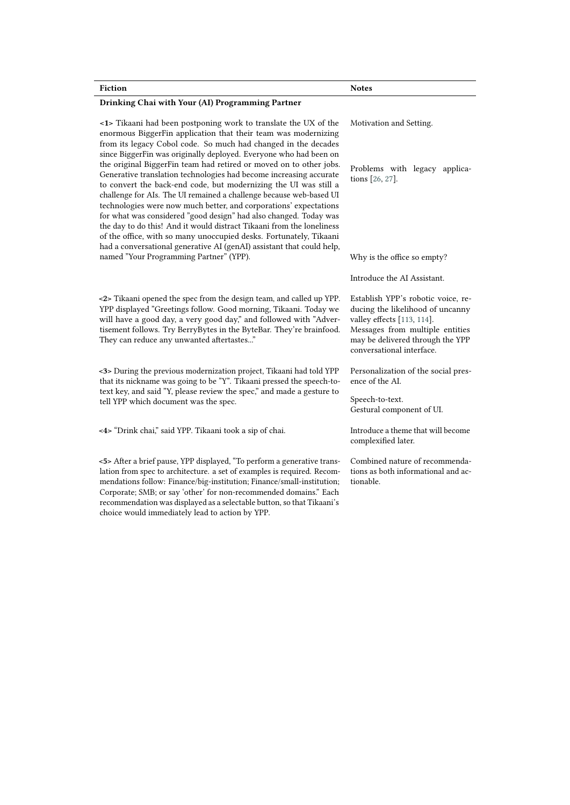| <b>Fiction</b>                                                                                                                                                                                                                                                                                                                                                                                                                                                                                                                                                                                                                                                                                                             | <b>Notes</b>                                                                                                                                                                                             |
|----------------------------------------------------------------------------------------------------------------------------------------------------------------------------------------------------------------------------------------------------------------------------------------------------------------------------------------------------------------------------------------------------------------------------------------------------------------------------------------------------------------------------------------------------------------------------------------------------------------------------------------------------------------------------------------------------------------------------|----------------------------------------------------------------------------------------------------------------------------------------------------------------------------------------------------------|
| Drinking Chai with Your (AI) Programming Partner                                                                                                                                                                                                                                                                                                                                                                                                                                                                                                                                                                                                                                                                           |                                                                                                                                                                                                          |
| <1> Tikaani had been postponing work to translate the UX of the<br>enormous BiggerFin application that their team was modernizing<br>from its legacy Cobol code. So much had changed in the decades                                                                                                                                                                                                                                                                                                                                                                                                                                                                                                                        | Motivation and Setting.                                                                                                                                                                                  |
| since BiggerFin was originally deployed. Everyone who had been on<br>the original BiggerFin team had retired or moved on to other jobs.<br>Generative translation technologies had become increasing accurate<br>to convert the back-end code, but modernizing the UI was still a<br>challenge for AIs. The UI remained a challenge because web-based UI<br>technologies were now much better, and corporations' expectations<br>for what was considered "good design" had also changed. Today was<br>the day to do this! And it would distract Tikaani from the loneliness<br>of the office, with so many unoccupied desks. Fortunately, Tikaani<br>had a conversational generative AI (genAI) assistant that could help, | Problems with legacy applica-<br>tions [26, 27].                                                                                                                                                         |
| named "Your Programming Partner" (YPP).                                                                                                                                                                                                                                                                                                                                                                                                                                                                                                                                                                                                                                                                                    | Why is the office so empty?                                                                                                                                                                              |
|                                                                                                                                                                                                                                                                                                                                                                                                                                                                                                                                                                                                                                                                                                                            | Introduce the AI Assistant.                                                                                                                                                                              |
| <2> Tikaani opened the spec from the design team, and called up YPP.<br>YPP displayed "Greetings follow. Good morning, Tikaani. Today we<br>will have a good day, a very good day," and followed with "Adver-<br>tisement follows. Try BerryBytes in the ByteBar. They're brainfood.<br>They can reduce any unwanted aftertastes"                                                                                                                                                                                                                                                                                                                                                                                          | Establish YPP's robotic voice, re-<br>ducing the likelihood of uncanny<br>valley effects [113, 114].<br>Messages from multiple entities<br>may be delivered through the YPP<br>conversational interface. |
| <3> During the previous modernization project, Tikaani had told YPP<br>that its nickname was going to be "Y". Tikaani pressed the speech-to-<br>text key, and said "Y, please review the spec," and made a gesture to<br>tell YPP which document was the spec.                                                                                                                                                                                                                                                                                                                                                                                                                                                             | Personalization of the social pres-<br>ence of the AL                                                                                                                                                    |
|                                                                                                                                                                                                                                                                                                                                                                                                                                                                                                                                                                                                                                                                                                                            | Speech-to-text.<br>Gestural component of UI.                                                                                                                                                             |
| <4> "Drink chai," said YPP. Tikaani took a sip of chai.                                                                                                                                                                                                                                                                                                                                                                                                                                                                                                                                                                                                                                                                    | Introduce a theme that will become<br>complexified later.                                                                                                                                                |
| <5> After a brief pause, YPP displayed, "To perform a generative trans-<br>lation from spec to architecture. a set of examples is required. Recom-<br>mendations follow: Finance/big-institution; Finance/small-institution;<br>Corporate; SMB; or say 'other' for non-recommended domains." Each<br>recommendation was displayed as a selectable button, so that Tikaani's<br>choice would immediately lead to action by YPP.                                                                                                                                                                                                                                                                                             | Combined nature of recommenda-<br>tions as both informational and ac-<br>tionable.                                                                                                                       |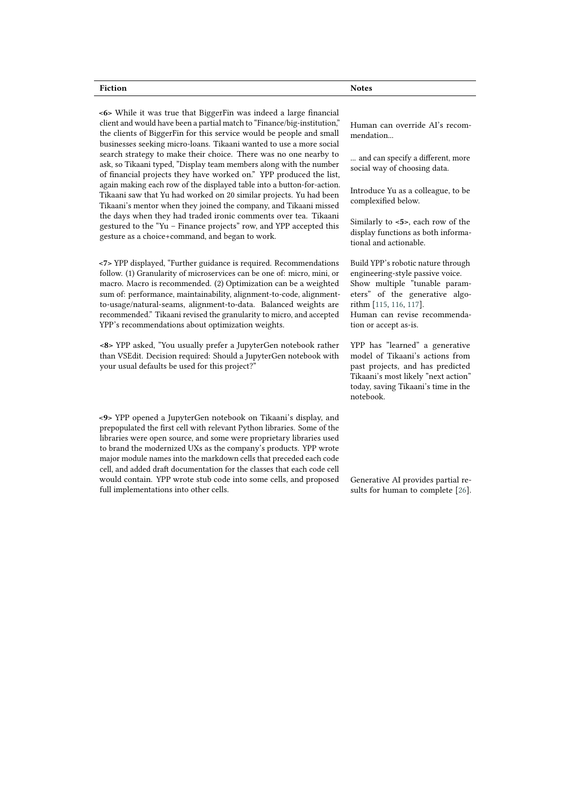#### **Fiction** Notes

**<6>** While it was true that BiggerFin was indeed a large financial client and would have been a partial match to "Finance/big-institution," the clients of BiggerFin for this service would be people and small businesses seeking micro-loans. Tikaani wanted to use a more social search strategy to make their choice. There was no one nearby to ask, so Tikaani typed, "Display team members along with the number of financial projects they have worked on." YPP produced the list, again making each row of the displayed table into a button-for-action. Tikaani saw that Yu had worked on 20 similar projects. Yu had been Tikaani's mentor when they joined the company, and Tikaani missed the days when they had traded ironic comments over tea. Tikaani gestured to the "Yu – Finance projects" row, and YPP accepted this gesture as a choice+command, and began to work.

**<7>** YPP displayed, "Further guidance is required. Recommendations follow. (1) Granularity of microservices can be one of: micro, mini, or macro. Macro is recommended. (2) Optimization can be a weighted sum of: performance, maintainability, alignment-to-code, alignmentto-usage/natural-seams, alignment-to-data. Balanced weights are recommended." Tikaani revised the granularity to micro, and accepted YPP's recommendations about optimization weights.

**<8>** YPP asked, "You usually prefer a JupyterGen notebook rather than VSEdit. Decision required: Should a JupyterGen notebook with your usual defaults be used for this project?"

**<9>** YPP opened a JupyterGen notebook on Tikaani's display, and prepopulated the first cell with relevant Python libraries. Some of the libraries were open source, and some were proprietary libraries used to brand the modernized UXs as the company's products. YPP wrote major module names into the markdown cells that preceded each code cell, and added draft documentation for the classes that each code cell would contain. YPP wrote stub code into some cells, and proposed full implementations into other cells.

Human can override AI's recommendation...

... and can specify a different, more social way of choosing data.

Introduce Yu as a colleague, to be complexified below.

Similarly to **<5>**, each row of the display functions as both informational and actionable.

Build YPP's robotic nature through engineering-style passive voice. Show multiple "tunable parameters" of the generative algorithm [\[115,](#page-13-27) [116,](#page-13-28) [117\]](#page-13-29).

Human can revise recommendation or accept as-is.

YPP has "learned" a generative model of Tikaani's actions from past projects, and has predicted Tikaani's most likely "next action" today, saving Tikaani's time in the notebook.

Generative AI provides partial results for human to complete [\[26\]](#page-10-3).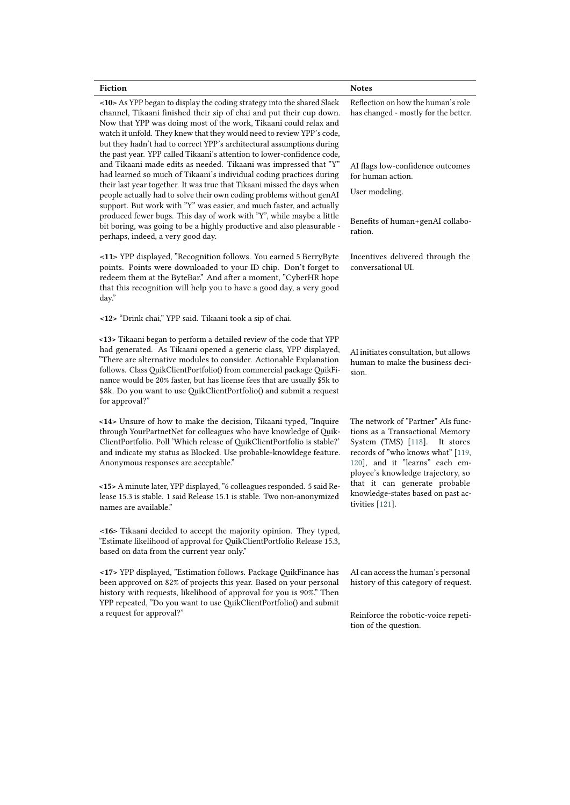|                                                                                                                                                                                                                                                                                                                                                                                                                                                                                                                                                                                           | <b>Notes</b>                                                                                                                                                                                                       |
|-------------------------------------------------------------------------------------------------------------------------------------------------------------------------------------------------------------------------------------------------------------------------------------------------------------------------------------------------------------------------------------------------------------------------------------------------------------------------------------------------------------------------------------------------------------------------------------------|--------------------------------------------------------------------------------------------------------------------------------------------------------------------------------------------------------------------|
| <10> As YPP began to display the coding strategy into the shared Slack<br>channel, Tikaani finished their sip of chai and put their cup down.<br>Now that YPP was doing most of the work, Tikaani could relax and<br>watch it unfold. They knew that they would need to review YPP's code,<br>but they hadn't had to correct YPP's architectural assumptions during<br>the past year. YPP called Tikaani's attention to lower-confidence code,<br>and Tikaani made edits as needed. Tikaani was impressed that "Y"<br>had learned so much of Tikaani's individual coding practices during | Reflection on how the human's role<br>has changed - mostly for the better.                                                                                                                                         |
|                                                                                                                                                                                                                                                                                                                                                                                                                                                                                                                                                                                           | AI flags low-confidence outcomes<br>for human action.                                                                                                                                                              |
| their last year together. It was true that Tikaani missed the days when<br>people actually had to solve their own coding problems without genAI<br>support. But work with "Y" was easier, and much faster, and actually                                                                                                                                                                                                                                                                                                                                                                   | User modeling.                                                                                                                                                                                                     |
| produced fewer bugs. This day of work with "Y", while maybe a little<br>bit boring, was going to be a highly productive and also pleasurable -<br>perhaps, indeed, a very good day.                                                                                                                                                                                                                                                                                                                                                                                                       | Benefits of human+genAI collabo-<br>ration.                                                                                                                                                                        |
| <11> YPP displayed, "Recognition follows. You earned 5 BerryByte<br>points. Points were downloaded to your ID chip. Don't forget to<br>redeem them at the ByteBar." And after a moment, "CyberHR hope<br>that this recognition will help you to have a good day, a very good<br>day."                                                                                                                                                                                                                                                                                                     | Incentives delivered through the<br>conversational UI.                                                                                                                                                             |
| <12> "Drink chai," YPP said. Tikaani took a sip of chai.                                                                                                                                                                                                                                                                                                                                                                                                                                                                                                                                  |                                                                                                                                                                                                                    |
| <13> Tikaani began to perform a detailed review of the code that YPP<br>had generated. As Tikaani opened a generic class, YPP displayed,<br>"There are alternative modules to consider. Actionable Explanation<br>follows. Class QuikClientPortfolio() from commercial package QuikFi-<br>nance would be 20% faster, but has license fees that are usually \$5k to<br>\$8k. Do you want to use QuikClientPortfolio() and submit a request<br>for approval?"                                                                                                                               | AI initiates consultation, but allows<br>human to make the business deci-<br>sion.                                                                                                                                 |
| <14> Unsure of how to make the decision, Tikaani typed, "Inquire<br>through YourPartnetNet for colleagues who have knowledge of Quik-<br>ClientPortfolio. Poll 'Which release of QuikClientPortfolio is stable?'<br>and indicate my status as Blocked. Use probable-knowldege feature.<br>Anonymous responses are acceptable."                                                                                                                                                                                                                                                            | The network of "Partner" AIs func-<br>tions as a Transactional Memory<br>System (TMS) [118]. It stores<br>records of "who knows what" [119,<br>120], and it "learns" each em-<br>ployee's knowledge trajectory, so |
| <15> A minute later, YPP displayed, "6 colleagues responded. 5 said Re-<br>lease 15.3 is stable. 1 said Release 15.1 is stable. Two non-anonymized<br>names are available."                                                                                                                                                                                                                                                                                                                                                                                                               | that it can generate probable<br>knowledge-states based on past ac-<br>tivities [121].                                                                                                                             |
| <16> Tikaani decided to accept the majority opinion. They typed,<br>"Estimate likelihood of approval for QuikClientPortfolio Release 15.3,<br>based on data from the current year only."                                                                                                                                                                                                                                                                                                                                                                                                  |                                                                                                                                                                                                                    |
| <17> YPP displayed, "Estimation follows. Package QuikFinance has<br>been approved on 82% of projects this year. Based on your personal<br>history with requests, likelihood of approval for you is 90%." Then<br>YPP repeated, "Do you want to use QuikClientPortfolio() and submit<br>a request for approval?"                                                                                                                                                                                                                                                                           | AI can access the human's personal<br>history of this category of request.                                                                                                                                         |
|                                                                                                                                                                                                                                                                                                                                                                                                                                                                                                                                                                                           | Reinforce the robotic-voice repeti-<br>tion of the question.                                                                                                                                                       |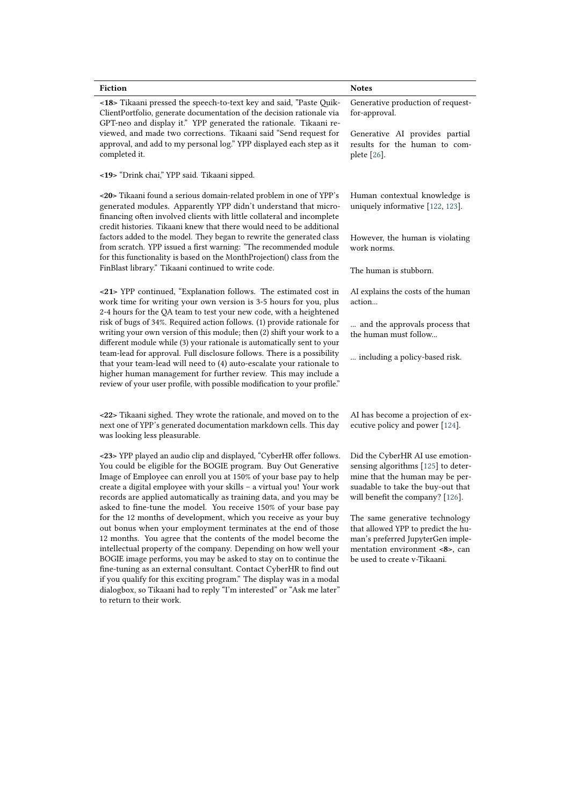| <b>Fiction</b>                                                                                                                                                                                                                                                                                                                                                                                                                                                                                                                                                                                                                                                                                                                                                                                                                                                                                                                                                                                                                    | <b>Notes</b>                                                                                                                                                                      |
|-----------------------------------------------------------------------------------------------------------------------------------------------------------------------------------------------------------------------------------------------------------------------------------------------------------------------------------------------------------------------------------------------------------------------------------------------------------------------------------------------------------------------------------------------------------------------------------------------------------------------------------------------------------------------------------------------------------------------------------------------------------------------------------------------------------------------------------------------------------------------------------------------------------------------------------------------------------------------------------------------------------------------------------|-----------------------------------------------------------------------------------------------------------------------------------------------------------------------------------|
| <18> Tikaani pressed the speech-to-text key and said, "Paste Quik-<br>ClientPortfolio, generate documentation of the decision rationale via<br>GPT-neo and display it." YPP generated the rationale. Tikaani re-<br>viewed, and made two corrections. Tikaani said "Send request for<br>approval, and add to my personal log." YPP displayed each step as it<br>completed it.                                                                                                                                                                                                                                                                                                                                                                                                                                                                                                                                                                                                                                                     | Generative production of request-<br>for-approval.                                                                                                                                |
|                                                                                                                                                                                                                                                                                                                                                                                                                                                                                                                                                                                                                                                                                                                                                                                                                                                                                                                                                                                                                                   | Generative AI provides partial<br>results for the human to com-<br>plete [26].                                                                                                    |
| <19> "Drink chai," YPP said. Tikaani sipped.                                                                                                                                                                                                                                                                                                                                                                                                                                                                                                                                                                                                                                                                                                                                                                                                                                                                                                                                                                                      |                                                                                                                                                                                   |
| <20> Tikaani found a serious domain-related problem in one of YPP's<br>generated modules. Apparently YPP didn't understand that micro-<br>financing often involved clients with little collateral and incomplete<br>credit histories. Tikaani knew that there would need to be additional<br>factors added to the model. They began to rewrite the generated class<br>from scratch. YPP issued a first warning: "The recommended module<br>for this functionality is based on the MonthProjection() class from the                                                                                                                                                                                                                                                                                                                                                                                                                                                                                                                | Human contextual knowledge is<br>uniquely informative [122, 123].                                                                                                                 |
|                                                                                                                                                                                                                                                                                                                                                                                                                                                                                                                                                                                                                                                                                                                                                                                                                                                                                                                                                                                                                                   | However, the human is violating<br>work norms.                                                                                                                                    |
| FinBlast library." Tikaani continued to write code.                                                                                                                                                                                                                                                                                                                                                                                                                                                                                                                                                                                                                                                                                                                                                                                                                                                                                                                                                                               | The human is stubborn.                                                                                                                                                            |
| <21> YPP continued, "Explanation follows. The estimated cost in<br>work time for writing your own version is 3-5 hours for you, plus<br>2-4 hours for the QA team to test your new code, with a heightened<br>risk of bugs of 34%. Required action follows. (1) provide rationale for<br>writing your own version of this module; then (2) shift your work to a<br>different module while (3) your rationale is automatically sent to your<br>team-lead for approval. Full disclosure follows. There is a possibility<br>that your team-lead will need to (4) auto-escalate your rationale to<br>higher human management for further review. This may include a<br>review of your user profile, with possible modification to your profile."                                                                                                                                                                                                                                                                                      | AI explains the costs of the human<br>action                                                                                                                                      |
|                                                                                                                                                                                                                                                                                                                                                                                                                                                                                                                                                                                                                                                                                                                                                                                                                                                                                                                                                                                                                                   | and the approvals process that<br>the human must follow                                                                                                                           |
|                                                                                                                                                                                                                                                                                                                                                                                                                                                                                                                                                                                                                                                                                                                                                                                                                                                                                                                                                                                                                                   | including a policy-based risk.                                                                                                                                                    |
| <22> Tikaani sighed. They wrote the rationale, and moved on to the<br>next one of YPP's generated documentation markdown cells. This day<br>was looking less pleasurable.                                                                                                                                                                                                                                                                                                                                                                                                                                                                                                                                                                                                                                                                                                                                                                                                                                                         | AI has become a projection of ex-<br>ecutive policy and power [124].                                                                                                              |
| <23> YPP played an audio clip and displayed, "CyberHR offer follows.<br>You could be eligible for the BOGIE program. Buy Out Generative<br>Image of Employee can enroll you at 150% of your base pay to help<br>create a digital employee with your skills - a virtual you! Your work<br>records are applied automatically as training data, and you may be<br>asked to fine-tune the model. You receive 150% of your base pay<br>for the 12 months of development, which you receive as your buy<br>out bonus when your employment terminates at the end of those<br>12 months. You agree that the contents of the model become the<br>intellectual property of the company. Depending on how well your<br>BOGIE image performs, you may be asked to stay on to continue the<br>fine-tuning as an external consultant. Contact CyberHR to find out<br>if you qualify for this exciting program." The display was in a modal<br>dialogbox, so Tikaani had to reply "I'm interested" or "Ask me later"<br>to return to their work. | Did the CyberHR AI use emotion-<br>sensing algorithms [125] to deter-<br>mine that the human may be per-<br>suadable to take the buy-out that<br>will benefit the company? [126]. |
|                                                                                                                                                                                                                                                                                                                                                                                                                                                                                                                                                                                                                                                                                                                                                                                                                                                                                                                                                                                                                                   | The same generative technology<br>that allowed YPP to predict the hu-<br>man's preferred JupyterGen imple-<br>mentation environment <8>, can<br>be used to create v-Tikaani.      |
|                                                                                                                                                                                                                                                                                                                                                                                                                                                                                                                                                                                                                                                                                                                                                                                                                                                                                                                                                                                                                                   |                                                                                                                                                                                   |
|                                                                                                                                                                                                                                                                                                                                                                                                                                                                                                                                                                                                                                                                                                                                                                                                                                                                                                                                                                                                                                   |                                                                                                                                                                                   |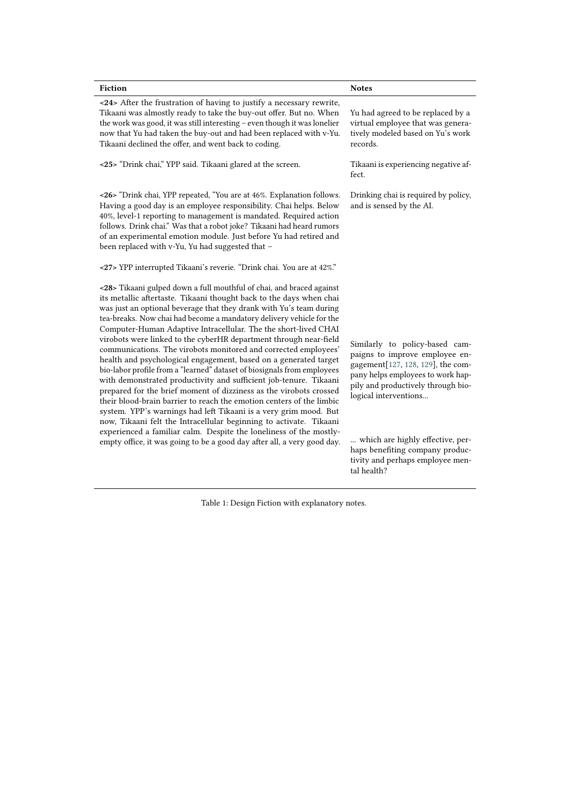| <b>Fiction</b>                                                                                                                                                                                                                                                                                                                                                                                                                                                                                                                                                                                                                                                                                                                                                                                                                                                                                                                                                                                                                                                                                                                                                     | <b>Notes</b>                                                                                                                                                                                                                                                                                                                        |
|--------------------------------------------------------------------------------------------------------------------------------------------------------------------------------------------------------------------------------------------------------------------------------------------------------------------------------------------------------------------------------------------------------------------------------------------------------------------------------------------------------------------------------------------------------------------------------------------------------------------------------------------------------------------------------------------------------------------------------------------------------------------------------------------------------------------------------------------------------------------------------------------------------------------------------------------------------------------------------------------------------------------------------------------------------------------------------------------------------------------------------------------------------------------|-------------------------------------------------------------------------------------------------------------------------------------------------------------------------------------------------------------------------------------------------------------------------------------------------------------------------------------|
| <24> After the frustration of having to justify a necessary rewrite,<br>Tikaani was almostly ready to take the buy-out offer. But no. When<br>the work was good, it was still interesting - even though it was lonelier<br>now that Yu had taken the buy-out and had been replaced with v-Yu.<br>Tikaani declined the offer, and went back to coding.                                                                                                                                                                                                                                                                                                                                                                                                                                                                                                                                                                                                                                                                                                                                                                                                              | Yu had agreed to be replaced by a<br>virtual employee that was genera-<br>tively modeled based on Yu's work<br>records.                                                                                                                                                                                                             |
| <25> "Drink chai," YPP said. Tikaani glared at the screen.                                                                                                                                                                                                                                                                                                                                                                                                                                                                                                                                                                                                                                                                                                                                                                                                                                                                                                                                                                                                                                                                                                         | Tikaani is experiencing negative af-<br>fect.                                                                                                                                                                                                                                                                                       |
| <26> "Drink chai, YPP repeated, "You are at 46%. Explanation follows.<br>Having a good day is an employee responsibility. Chai helps. Below<br>40%, level-1 reporting to management is mandated. Required action<br>follows. Drink chai." Was that a robot joke? Tikaani had heard rumors<br>of an experimental emotion module. Just before Yu had retired and<br>been replaced with v-Yu, Yu had suggested that -                                                                                                                                                                                                                                                                                                                                                                                                                                                                                                                                                                                                                                                                                                                                                 | Drinking chai is required by policy,<br>and is sensed by the AI.                                                                                                                                                                                                                                                                    |
| <27> YPP interrupted Tikaani's reverie. "Drink chai. You are at 42%."                                                                                                                                                                                                                                                                                                                                                                                                                                                                                                                                                                                                                                                                                                                                                                                                                                                                                                                                                                                                                                                                                              |                                                                                                                                                                                                                                                                                                                                     |
| <28> Tikaani gulped down a full mouthful of chai, and braced against<br>its metallic aftertaste. Tikaani thought back to the days when chai<br>was just an optional beverage that they drank with Yu's team during<br>tea-breaks. Now chai had become a mandatory delivery vehicle for the<br>Computer-Human Adaptive Intracellular. The the short-lived CHAI<br>virobots were linked to the cyberHR department through near-field<br>communications. The virobots monitored and corrected employees'<br>health and psychological engagement, based on a generated target<br>bio-labor profile from a "learned" dataset of biosignals from employees<br>with demonstrated productivity and sufficient job-tenure. Tikaani<br>prepared for the brief moment of dizziness as the virobots crossed<br>their blood-brain barrier to reach the emotion centers of the limbic<br>system. YPP's warnings had left Tikaani is a very grim mood. But<br>now, Tikaani felt the Intracellular beginning to activate. Tikaani<br>experienced a familiar calm. Despite the loneliness of the mostly-<br>empty office, it was going to be a good day after all, a very good day. | Similarly to policy-based cam-<br>paigns to improve employee en-<br>gagement[127, 128, 129], the com-<br>pany helps employees to work hap-<br>pily and productively through bio-<br>logical interventions<br>which are highly effective, per-<br>haps benefiting company produc-<br>tivity and perhaps employee men-<br>tal health? |

Table 1: Design Fiction with explanatory notes.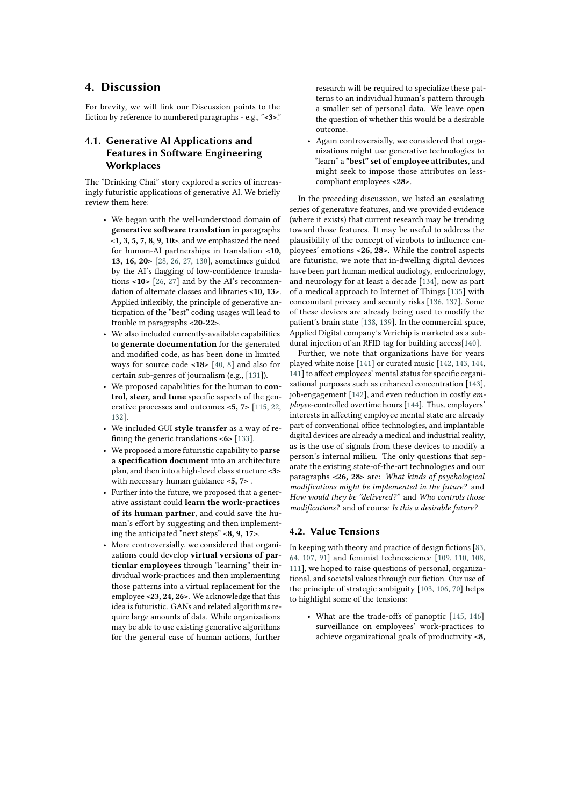## **4. Discussion**

For brevity, we will link our Discussion points to the fiction by reference to numbered paragraphs - e.g., "**<3>**."

## **4.1. Generative AI Applications and Features in Software Engineering Workplaces**

The "Drinking Chai" story explored a series of increasingly futuristic applications of generative AI. We briefly review them here:

- We began with the well-understood domain of **generative software translation** in paragraphs **<1, 3, 5, 7, 8, 9, 10>**, and we emphasized the need for human-AI partnerships in translation **<10, 13, 16, 20>** [\[28,](#page-10-5) [26,](#page-10-3) [27,](#page-10-6) [130\]](#page-14-11), sometimes guided by the AI's flagging of low-confidence translations **<10>** [\[26,](#page-10-3) [27\]](#page-10-6) and by the AI's recommendation of alternate classes and libraries **<10, 13>**. Applied inflexibly, the principle of generative anticipation of the "best" coding usages will lead to trouble in paragraphs **<20-22>**.
- We also included currently-available capabilities to **generate documentation** for the generated and modified code, as has been done in limited ways for source code **<18>** [\[40,](#page-11-6) [8\]](#page-10-4) and also for certain sub-genres of journalism (e.g., [\[131\]](#page-14-12)).
- We proposed capabilities for the human to **control, steer, and tune** specific aspects of the generative processes and outcomes **<5, 7>** [\[115,](#page-13-27) [22,](#page-10-7) [132\]](#page-14-13).
- We included GUI **style transfer** as a way of refining the generic translations **<6>** [\[133\]](#page-14-14).
- We proposed a more futuristic capability to **parse a specification document** into an architecture plan, and then into a high-level class structure **<3>** with necessary human guidance **<5, 7>** .
- Further into the future, we proposed that a generative assistant could **learn the work-practices of its human partner**, and could save the human's effort by suggesting and then implementing the anticipated "next steps" **<8, 9, 17>**.
- More controversially, we considered that organizations could develop **virtual versions of particular employees** through "learning" their individual work-practices and then implementing those patterns into a virtual replacement for the employee **<23, 24, 26>**. We acknowledge that this idea is futuristic. GANs and related algorithms require large amounts of data. While organizations may be able to use existing generative algorithms for the general case of human actions, further

research will be required to specialize these patterns to an individual human's pattern through a smaller set of personal data. We leave open the question of whether this would be a desirable outcome.

• Again controversially, we considered that organizations might use generative technologies to "learn" a **"best" set of employee attributes**, and might seek to impose those attributes on lesscompliant employees **<28>**.

In the preceding discussion, we listed an escalating series of generative features, and we provided evidence (where it exists) that current research may be trending toward those features. It may be useful to address the plausibility of the concept of virobots to influence employees' emotions **<26, 28>**. While the control aspects are futuristic, we note that in-dwelling digital devices have been part human medical audiology, endocrinology, and neurology for at least a decade [\[134\]](#page-14-15), now as part of a medical approach to Internet of Things [\[135\]](#page-14-16) with concomitant privacy and security risks [\[136,](#page-14-17) [137\]](#page-14-18). Some of these devices are already being used to modify the patient's brain state [\[138,](#page-14-19) [139\]](#page-14-20). In the commercial space, Applied Digital company's Verichip is marketed as a subdural injection of an RFID tag for building access[\[140\]](#page-14-21).

Further, we note that organizations have for years played white noise [\[141\]](#page-14-22) or curated music [\[142,](#page-14-23) [143,](#page-14-24) [144,](#page-15-0) [141\]](#page-14-22) to affect employees' mental status for specific organizational purposes such as enhanced concentration [\[143\]](#page-14-24), job-engagement [\[142\]](#page-14-23), and even reduction in costly *employee*-controlled overtime hours [\[144\]](#page-15-0). Thus, employers' interests in affecting employee mental state are already part of conventional office technologies, and implantable digital devices are already a medical and industrial reality, as is the use of signals from these devices to modify a person's internal milieu. The only questions that separate the existing state-of-the-art technologies and our paragraphs **<26, 28>** are: *What kinds of psychological modifications might be implemented in the future?* and *How would they be "delivered?"* and *Who controls those modifications?* and of course *Is this a desirable future?*

## **4.2. Value Tensions**

In keeping with theory and practice of design fictions [\[83,](#page-12-21) [64,](#page-12-2) [107,](#page-13-19) [91\]](#page-13-3) and feminist technoscience [\[109,](#page-13-21) [110,](#page-13-22) [108,](#page-13-20) [111\]](#page-13-23), we hoped to raise questions of personal, organizational, and societal values through our fiction. Our use of the principle of strategic ambiguity [\[103,](#page-13-15) [106,](#page-13-18) [70\]](#page-12-8) helps to highlight some of the tensions:

• What are the trade-offs of panoptic [\[145,](#page-15-1) [146\]](#page-15-2) surveillance on employees' work-practices to achieve organizational goals of productivity **<8,**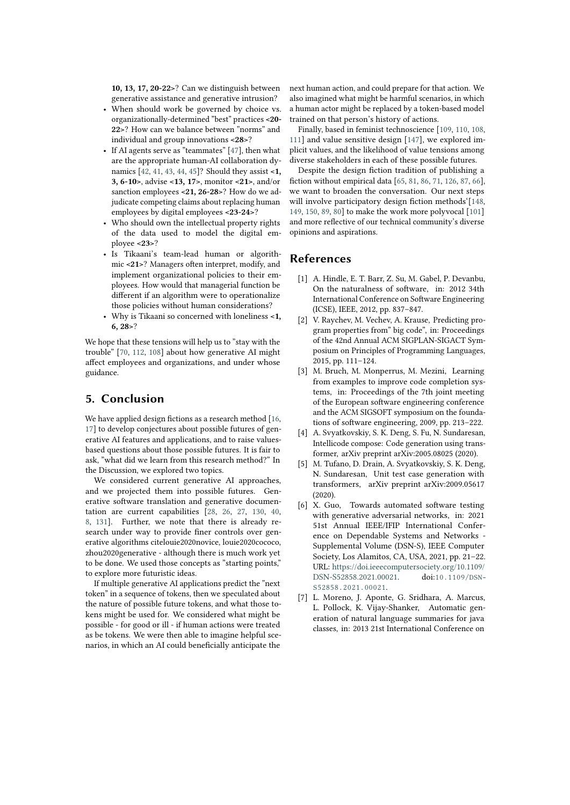**10, 13, 17, 20-22>**? Can we distinguish between generative assistance and generative intrusion?

- When should work be governed by choice vs. organizationally-determined "best" practices **<20- 22>**? How can we balance between "norms" and individual and group innovations **<28>**?
- If AI agents serve as "teammates" [\[47\]](#page-11-13), then what are the appropriate human-AI collaboration dynamics [\[42,](#page-11-8) [41,](#page-11-7) [43,](#page-11-9) [44,](#page-11-10) [45\]](#page-11-11)? Should they assist **<1, 3, 6-10>**, advise **<13, 17>**, monitor **<21>**, and/or sanction employees **<21, 26-28>**? How do we adjudicate competing claims about replacing human employees by digital employees **<23-24>**?
- Who should own the intellectual property rights of the data used to model the digital employee **<23>**?
- Is Tikaani's team-lead human or algorithmic **<21>**? Managers often interpret, modify, and implement organizational policies to their employees. How would that managerial function be different if an algorithm were to operationalize those policies without human considerations?
- Why is Tikaani so concerned with loneliness **<1, 6, 28>**?

We hope that these tensions will help us to "stay with the trouble" [\[70,](#page-12-8) [112,](#page-13-24) [108\]](#page-13-20) about how generative AI might affect employees and organizations, and under whose guidance.

## **5. Conclusion**

We have applied design fictions as a research method [\[16,](#page-10-9)] [17\]](#page-10-10) to develop conjectures about possible futures of generative AI features and applications, and to raise valuesbased questions about those possible futures. It is fair to ask, "what did we learn from this research method?" In the Discussion, we explored two topics.

We considered current generative AI approaches, and we projected them into possible futures. Generative software translation and generative documentation are current capabilities [\[28,](#page-10-5) [26,](#page-10-3) [27,](#page-10-6) [130,](#page-14-11) [40,](#page-11-6) [8,](#page-10-4) [131\]](#page-14-12). Further, we note that there is already research under way to provide finer controls over generative algorithms citelouie2020novice, louie2020cococo, zhou2020generative - although there is much work yet to be done. We used those concepts as "starting points," to explore more futuristic ideas.

If multiple generative AI applications predict the "next token" in a sequence of tokens, then we speculated about the nature of possible future tokens, and what those tokens might be used for. We considered what might be possible - for good or ill - if human actions were treated as be tokens. We were then able to imagine helpful scenarios, in which an AI could beneficially anticipate the

next human action, and could prepare for that action. We also imagined what might be harmful scenarios, in which a human actor might be replaced by a token-based model trained on that person's history of actions.

Finally, based in feminist technoscience [\[109,](#page-13-21) [110,](#page-13-22) [108,](#page-13-20) [111\]](#page-13-23) and value sensitive design [\[147\]](#page-15-3), we explored implicit values, and the likelihood of value tensions among diverse stakeholders in each of these possible futures.

Despite the design fiction tradition of publishing a fiction without empirical data [\[65,](#page-12-3) [81,](#page-12-19) [86,](#page-12-24) [71,](#page-12-9) [126,](#page-14-7) [87,](#page-12-25) [66\]](#page-12-4), we want to broaden the conversation. Our next steps will involve participatory design fiction methods'[\[148,](#page-15-4) [149,](#page-15-5) [150,](#page-15-6) [89,](#page-13-1) [80\]](#page-12-18) to make the work more polyvocal [\[101\]](#page-13-13) and more reflective of our technical community's diverse opinions and aspirations.

## **References**

- [1] A. Hindle, E. T. Barr, Z. Su, M. Gabel, P. Devanbu, On the naturalness of software, in: 2012 34th International Conference on Software Engineering (ICSE), IEEE, 2012, pp. 837–847.
- [2] V. Raychev, M. Vechev, A. Krause, Predicting program properties from" big code", in: Proceedings of the 42nd Annual ACM SIGPLAN-SIGACT Symposium on Principles of Programming Languages, 2015, pp. 111–124.
- [3] M. Bruch, M. Monperrus, M. Mezini, Learning from examples to improve code completion systems, in: Proceedings of the 7th joint meeting of the European software engineering conference and the ACM SIGSOFT symposium on the foundations of software engineering, 2009, pp. 213–222.
- [4] A. Svyatkovskiy, S. K. Deng, S. Fu, N. Sundaresan, Intellicode compose: Code generation using transformer, arXiv preprint arXiv:2005.08025 (2020).
- [5] M. Tufano, D. Drain, A. Svyatkovskiy, S. K. Deng, N. Sundaresan, Unit test case generation with transformers, arXiv preprint arXiv:2009.05617 (2020).
- [6] X. Guo, Towards automated software testing with generative adversarial networks, in: 2021 51st Annual IEEE/IFIP International Conference on Dependable Systems and Networks - Supplemental Volume (DSN-S), IEEE Computer Society, Los Alamitos, CA, USA, 2021, pp. 21–22. URL: [https://doi.ieeecomputersociety.org/10.1109/](https://doi.ieeecomputersociety.org/10.1109/DSN-S52858.2021.00021) [DSN-S52858.2021.00021.](https://doi.ieeecomputersociety.org/10.1109/DSN-S52858.2021.00021) doi:[10.1109/DSN-](http://dx.doi.org/10.1109/DSN-S52858.2021.00021)[S52858.2021.00021](http://dx.doi.org/10.1109/DSN-S52858.2021.00021).
- [7] L. Moreno, J. Aponte, G. Sridhara, A. Marcus, L. Pollock, K. Vijay-Shanker, Automatic generation of natural language summaries for java classes, in: 2013 21st International Conference on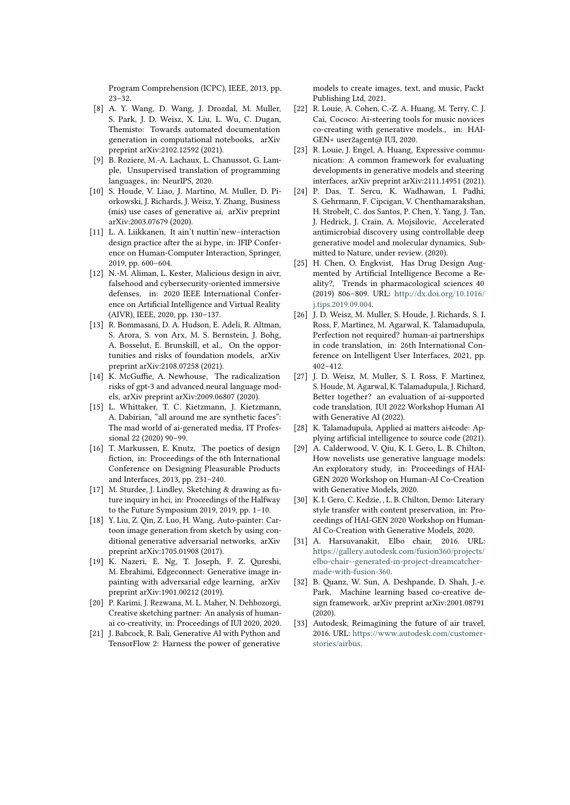Program Comprehension (ICPC), IEEE, 2013, pp. 23–32.

- <span id="page-10-4"></span>[8] A. Y. Wang, D. Wang, J. Drozdal, M. Muller, S. Park, J. D. Weisz, X. Liu, L. Wu, C. Dugan, Themisto: Towards automated documentation generation in computational notebooks, arXiv preprint arXiv:2102.12592 (2021).
- [9] B. Roziere, M.-A. Lachaux, L. Chanussot, G. Lample, Unsupervised translation of programming languages., in: NeurIPS, 2020.
- <span id="page-10-2"></span>[10] S. Houde, V. Liao, J. Martino, M. Muller, D. Piorkowski, J. Richards, J. Weisz, Y. Zhang, Business (mis) use cases of generative ai, arXiv preprint arXiv:2003.07679 (2020).
- [11] L. A. Liikkanen, It ain't nuttin'new-interaction design practice after the ai hype, in: IFIP Conference on Human-Computer Interaction, Springer, 2019, pp. 600–604.
- <span id="page-10-1"></span>[12] N.-M. Aliman, L. Kester, Malicious design in aivr, falsehood and cybersecurity-oriented immersive defenses, in: 2020 IEEE International Conference on Artificial Intelligence and Virtual Reality (AIVR), IEEE, 2020, pp. 130–137.
- [13] R. Bommasani, D. A. Hudson, E. Adeli, R. Altman, S. Arora, S. von Arx, M. S. Bernstein, J. Bohg, A. Bosselut, E. Brunskill, et al., On the opportunities and risks of foundation models, arXiv preprint arXiv:2108.07258 (2021).
- <span id="page-10-0"></span>[14] K. McGuffie, A. Newhouse, The radicalization risks of gpt-3 and advanced neural language models, arXiv preprint arXiv:2009.06807 (2020).
- <span id="page-10-11"></span>[15] L. Whittaker, T. C. Kietzmann, J. Kietzmann, A. Dabirian, "all around me are synthetic faces": The mad world of ai-generated media, IT Professional 22 (2020) 90–99.
- <span id="page-10-9"></span>[16] T. Markussen, E. Knutz, The poetics of design fiction, in: Proceedings of the 6th International Conference on Designing Pleasurable Products and Interfaces, 2013, pp. 231–240.
- <span id="page-10-10"></span>[17] M. Sturdee, J. Lindley, Sketching & drawing as future inquiry in hci, in: Proceedings of the Halfway to the Future Symposium 2019, 2019, pp. 1–10.
- [18] Y. Liu, Z. Qin, Z. Luo, H. Wang, Auto-painter: Cartoon image generation from sketch by using conditional generative adversarial networks, arXiv preprint arXiv:1705.01908 (2017).
- [19] K. Nazeri, E. Ng, T. Joseph, F. Z. Qureshi, M. Ebrahimi, Edgeconnect: Generative image inpainting with adversarial edge learning, arXiv preprint arXiv:1901.00212 (2019).
- [20] P. Karimi, J. Rezwana, M. L. Maher, N. Dehbozorgi, Creative sketching partner: An analysis of humanai co-creativity, in: Proceedings of IUI 2020, 2020.
- [21] J. Babcock, R. Bali, Generative AI with Python and TensorFlow 2: Harness the power of generative

models to create images, text, and music, Packt Publishing Ltd, 2021.

- <span id="page-10-7"></span>[22] R. Louie, A. Cohen, C.-Z. A. Huang, M. Terry, C. J. Cai, Cococo: Ai-steering tools for music novices co-creating with generative models., in: HAI-GEN+ user2agent@ IUI, 2020.
- <span id="page-10-8"></span>[23] R. Louie, J. Engel, A. Huang, Expressive communication: A common framework for evaluating developments in generative models and steering interfaces, arXiv preprint arXiv:2111.14951 (2021).
- [24] P. Das, T. Sercu, K. Wadhawan, I. Padhi, S. Gehrmann, F. Cipcigan, V. Chenthamarakshan, H. Strobelt, C. dos Santos, P. Chen, Y. Yang, J. Tan, J. Hedrick, J. Crain, A. Mojsilovic, Accelerated antimicrobial discovery using controllable deep generative model and molecular dynamics, Submitted to Nature, under review. (2020).
- [25] H. Chen, O. Engkvist, Has Drug Design Augmented by Artificial Intelligence Become a Reality?, Trends in pharmacological sciences 40 (2019) 806–809. URL: [http://dx.doi.org/10.1016/](http://dx.doi.org/10.1016/j.tips.2019.09.004) [j.tips.2019.09.004.](http://dx.doi.org/10.1016/j.tips.2019.09.004)
- <span id="page-10-3"></span>[26] J. D. Weisz, M. Muller, S. Houde, J. Richards, S. I. Ross, F. Martinez, M. Agarwal, K. Talamadupula, Perfection not required? human-ai partnerships in code translation, in: 26th International Conference on Intelligent User Interfaces, 2021, pp.  $402 - 412$
- <span id="page-10-6"></span>[27] J. D. Weisz, M. Muller, S. I. Ross, F. Martinez, S. Houde, M. Agarwal, K. Talamadupula, J. Richard, Better together? an evaluation of ai-supported code translation, IUI 2022 Workshop Human AI with Generative AI (2022).
- <span id="page-10-5"></span>[28] K. Talamadupula, Applied ai matters ai4code: Applying artificial intelligence to source code (2021).
- [29] A. Calderwood, V. Qiu, K. I. Gero, L. B. Chilton, How novelists use generative language models: An exploratory study, in: Proceedings of HAI-GEN 2020 Workshop on Human-AI Co-Creation with Generative Models, 2020.
- [30] K. I. Gero, C. Kedzie, , L. B. Chilton, Demo: Literary style transfer with content preservation, in: Proceedings of HAI-GEN 2020 Workshop on Human-AI Co-Creation with Generative Models, 2020.
- [31] A. Harsuvanakit, Elbo chair, 2016. URL: [https://gallery.autodesk.com/fusion360/projects/](https://gallery.autodesk.com/fusion360/projects/elbo-chair--generated-in-project-dreamcatcher- made-with-fusion-360) [elbo-chair--generated-in-project-dreamcatcher](https://gallery.autodesk.com/fusion360/projects/elbo-chair--generated-in-project-dreamcatcher- made-with-fusion-360)[made-with-fusion-360.](https://gallery.autodesk.com/fusion360/projects/elbo-chair--generated-in-project-dreamcatcher- made-with-fusion-360)
- [32] B. Quanz, W. Sun, A. Deshpande, D. Shah, J.-e. Park, Machine learning based co-creative design framework, arXiv preprint arXiv:2001.08791 (2020).
- [33] Autodesk, Reimagining the future of air travel, 2016. URL: [https://www.autodesk.com/customer](https://www.autodesk.com/customer-stories/airbus)[stories/airbus.](https://www.autodesk.com/customer-stories/airbus)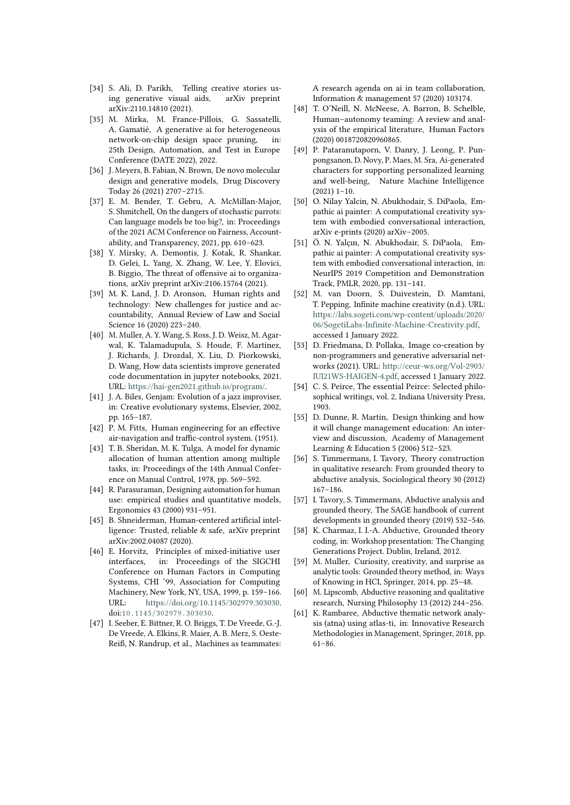- <span id="page-11-0"></span>[34] S. Ali, D. Parikh, Telling creative stories using generative visual aids, arXiv preprint arXiv:2110.14810 (2021).
- <span id="page-11-1"></span>[35] M. Mirka, M. France-Pillois, G. Sassatelli, A. Gamatié, A generative ai for heterogeneous network-on-chip design space pruning, in: 25th Design, Automation, and Test in Europe Conference (DATE 2022), 2022.
- <span id="page-11-2"></span>[36] J. Meyers, B. Fabian, N. Brown, De novo molecular design and generative models, Drug Discovery Today 26 (2021) 2707–2715.
- <span id="page-11-3"></span>[37] E. M. Bender, T. Gebru, A. McMillan-Major, S. Shmitchell, On the dangers of stochastic parrots: Can language models be too big?, in: Proceedings of the 2021 ACM Conference on Fairness, Accountability, and Transparency, 2021, pp. 610–623.
- <span id="page-11-4"></span>[38] Y. Mirsky, A. Demontis, J. Kotak, R. Shankar, D. Gelei, L. Yang, X. Zhang, W. Lee, Y. Elovici, B. Biggio, The threat of offensive ai to organizations, arXiv preprint arXiv:2106.15764 (2021).
- <span id="page-11-5"></span>[39] M. K. Land, J. D. Aronson, Human rights and technology: New challenges for justice and accountability, Annual Review of Law and Social Science 16 (2020) 223–240.
- <span id="page-11-6"></span>[40] M. Muller, A. Y. Wang, S. Ross, J. D. Weisz, M. Agarwal, K. Talamadupula, S. Houde, F. Martinez, J. Richards, J. Drozdal, X. Liu, D. Piorkowski, D. Wang, How data scientists improve generated code documentation in jupyter notebooks, 2021. URL: [https://hai-gen2021.github.io/program/.](https://hai-gen2021.github.io/program/)
- <span id="page-11-7"></span>[41] J. A. Biles, Genjam: Evolution of a jazz improviser, in: Creative evolutionary systems, Elsevier, 2002, pp. 165–187.
- <span id="page-11-8"></span>[42] P. M. Fitts, Human engineering for an effective air-navigation and traffic-control system. (1951).
- <span id="page-11-9"></span>[43] T. B. Sheridan, M. K. Tulga, A model for dynamic allocation of human attention among multiple tasks, in: Proceedings of the 14th Annual Conference on Manual Control, 1978, pp. 569–592.
- <span id="page-11-10"></span>[44] R. Parasuraman, Designing automation for human use: empirical studies and quantitative models, Ergonomics 43 (2000) 931–951.
- <span id="page-11-11"></span>[45] B. Shneiderman, Human-centered artificial intelligence: Trusted, reliable & safe, arXiv preprint arXiv:2002.04087 (2020).
- <span id="page-11-12"></span>[46] E. Horvitz, Principles of mixed-initiative user interfaces, in: Proceedings of the SIGCHI Conference on Human Factors in Computing Systems, CHI '99, Association for Computing Machinery, New York, NY, USA, 1999, p. 159–166. URL: [https://doi.org/10.1145/302979.303030.](https://doi.org/10.1145/302979.303030) doi:[10.1145/302979.303030](http://dx.doi.org/10.1145/302979.303030).
- <span id="page-11-13"></span>[47] I. Seeber, E. Bittner, R. O. Briggs, T. De Vreede, G.-J. De Vreede, A. Elkins, R. Maier, A. B. Merz, S. Oeste-Reiß, N. Randrup, et al., Machines as teammates:

A research agenda on ai in team collaboration, Information & management 57 (2020) 103174.

- <span id="page-11-14"></span>[48] T. O'Neill, N. McNeese, A. Barron, B. Schelble, Human–autonomy teaming: A review and analysis of the empirical literature, Human Factors (2020) 0018720820960865.
- <span id="page-11-15"></span>[49] P. Pataranutaporn, V. Danry, J. Leong, P. Punpongsanon, D. Novy, P. Maes, M. Sra, Ai-generated characters for supporting personalized learning and well-being, Nature Machine Intelligence  $(2021)$  1–10.
- <span id="page-11-16"></span>[50] O. Nilay Yalcin, N. Abukhodair, S. DiPaola, Empathic ai painter: A computational creativity system with embodied conversational interaction, arXiv e-prints (2020) arXiv–2005.
- <span id="page-11-17"></span>[51] Ö. N. Yalçın, N. Abukhodair, S. DiPaola, Empathic ai painter: A computational creativity system with embodied conversational interaction, in: NeurIPS 2019 Competition and Demonstration Track, PMLR, 2020, pp. 131–141.
- <span id="page-11-18"></span>[52] M. van Doorn, S. Duivestein, D. Mamtani, T. Pepping, Infinite machine creativity (n.d.). URL: [https://labs.sogeti.com/wp-content/uploads/2020/](https://labs.sogeti.com/wp-content/uploads/2020/06/SogetiLabs-Infinite-Machine-Creativity.pdf) [06/SogetiLabs-Infinite-Machine-Creativity.pdf,](https://labs.sogeti.com/wp-content/uploads/2020/06/SogetiLabs-Infinite-Machine-Creativity.pdf) accessed 1 January 2022.
- <span id="page-11-19"></span>[53] D. Friedmana, D. Pollaka, Image co-creation by non-programmers and generative adversarial networks (2021). URL: [http://ceur-ws.org/Vol-2903/](http://ceur-ws.org/Vol-2903/IUI21WS-HAIGEN-4.pdf) [IUI21WS-HAIGEN-4.pdf,](http://ceur-ws.org/Vol-2903/IUI21WS-HAIGEN-4.pdf) accessed 1 January 2022.
- <span id="page-11-20"></span>[54] C. S. Peirce, The essential Peirce: Selected philosophical writings, vol. 2, Indiana University Press, 1903.
- <span id="page-11-21"></span>[55] D. Dunne, R. Martin, Design thinking and how it will change management education: An interview and discussion, Academy of Management Learning & Education 5 (2006) 512–523.
- <span id="page-11-22"></span>[56] S. Timmermans, I. Tavory, Theory construction in qualitative research: From grounded theory to abductive analysis, Sociological theory 30 (2012) 167–186.
- <span id="page-11-23"></span>[57] I. Tavory, S. Timmermans, Abductive analysis and grounded theory, The SAGE handbook of current developments in grounded theory (2019) 532–546.
- <span id="page-11-24"></span>[58] K. Charmaz, I. I.-A. Abductive, Grounded theory coding, in: Workshop presentation: The Changing Generations Project. Dublin, Ireland, 2012.
- <span id="page-11-25"></span>[59] M. Muller, Curiosity, creativity, and surprise as analytic tools: Grounded theory method, in: Ways of Knowing in HCI, Springer, 2014, pp. 25–48.
- <span id="page-11-26"></span>[60] M. Lipscomb, Abductive reasoning and qualitative research, Nursing Philosophy 13 (2012) 244–256.
- <span id="page-11-27"></span>[61] K. Rambaree, Abductive thematic network analysis (atna) using atlas-ti, in: Innovative Research Methodologies in Management, Springer, 2018, pp. 61–86.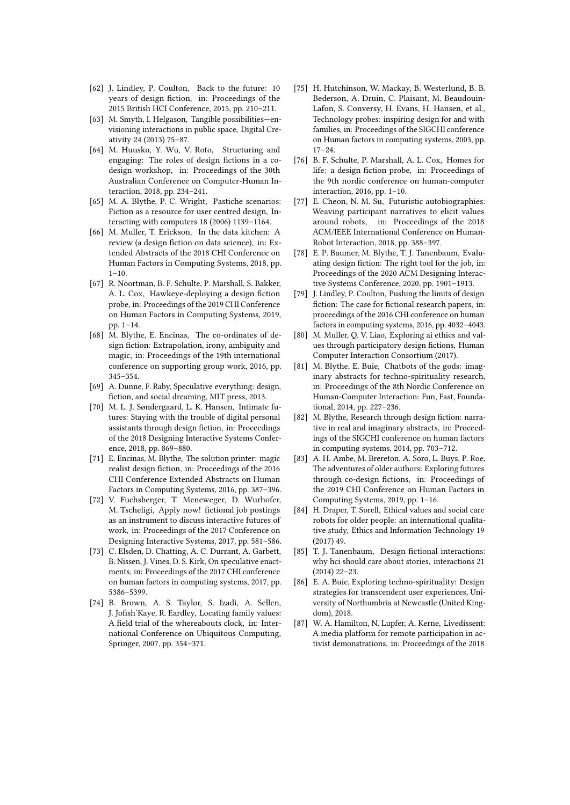- <span id="page-12-0"></span>[62] J. Lindley, P. Coulton, Back to the future: 10 years of design fiction, in: Proceedings of the 2015 British HCI Conference, 2015, pp. 210–211.
- <span id="page-12-1"></span>[63] M. Smyth, I. Helgason, Tangible possibilities—envisioning interactions in public space, Digital Creativity 24 (2013) 75–87.
- <span id="page-12-2"></span>[64] M. Huusko, Y. Wu, V. Roto, Structuring and engaging: The roles of design fictions in a codesign workshop, in: Proceedings of the 30th Australian Conference on Computer-Human Interaction, 2018, pp. 234–241.
- <span id="page-12-3"></span>[65] M. A. Blythe, P. C. Wright, Pastiche scenarios: Fiction as a resource for user centred design, Interacting with computers 18 (2006) 1139–1164.
- <span id="page-12-4"></span>[66] M. Muller, T. Erickson, In the data kitchen: A review (a design fiction on data science), in: Extended Abstracts of the 2018 CHI Conference on Human Factors in Computing Systems, 2018, pp.  $1 - 10$ .
- <span id="page-12-5"></span>[67] R. Noortman, B. F. Schulte, P. Marshall, S. Bakker, A. L. Cox, Hawkeye-deploying a design fiction probe, in: Proceedings of the 2019 CHI Conference on Human Factors in Computing Systems, 2019, pp. 1–14.
- <span id="page-12-6"></span>[68] M. Blythe, E. Encinas, The co-ordinates of design fiction: Extrapolation, irony, ambiguity and magic, in: Proceedings of the 19th international conference on supporting group work, 2016, pp. 345–354.
- <span id="page-12-7"></span>[69] A. Dunne, F. Raby, Speculative everything: design, fiction, and social dreaming, MIT press, 2013.
- <span id="page-12-8"></span>[70] M. L. J. Søndergaard, L. K. Hansen, Intimate futures: Staying with the trouble of digital personal assistants through design fiction, in: Proceedings of the 2018 Designing Interactive Systems Conference, 2018, pp. 869–880.
- <span id="page-12-9"></span>[71] E. Encinas, M. Blythe, The solution printer: magic realist design fiction, in: Proceedings of the 2016 CHI Conference Extended Abstracts on Human Factors in Computing Systems, 2016, pp. 387–396.
- <span id="page-12-10"></span>[72] V. Fuchsberger, T. Meneweger, D. Wurhofer, M. Tscheligi, Apply now! fictional job postings as an instrument to discuss interactive futures of work, in: Proceedings of the 2017 Conference on Designing Interactive Systems, 2017, pp. 581–586.
- <span id="page-12-11"></span>[73] C. Elsden, D. Chatting, A. C. Durrant, A. Garbett, B. Nissen, J. Vines, D. S. Kirk, On speculative enactments, in: Proceedings of the 2017 CHI conference on human factors in computing systems, 2017, pp. 5386–5399.
- <span id="page-12-12"></span>[74] B. Brown, A. S. Taylor, S. Izadi, A. Sellen, J. Jofish'Kaye, R. Eardley, Locating family values: A field trial of the whereabouts clock, in: International Conference on Ubiquitous Computing, Springer, 2007, pp. 354–371.
- <span id="page-12-13"></span>[75] H. Hutchinson, W. Mackay, B. Westerlund, B. B. Bederson, A. Druin, C. Plaisant, M. Beaudouin-Lafon, S. Conversy, H. Evans, H. Hansen, et al., Technology probes: inspiring design for and with families, in: Proceedings of the SIGCHI conference on Human factors in computing systems, 2003, pp. 17–24.
- <span id="page-12-14"></span>[76] B. F. Schulte, P. Marshall, A. L. Cox, Homes for life: a design fiction probe, in: Proceedings of the 9th nordic conference on human-computer interaction, 2016, pp. 1–10.
- <span id="page-12-15"></span>[77] E. Cheon, N. M. Su, Futuristic autobiographies: Weaving participant narratives to elicit values around robots, in: Proceedings of the 2018 ACM/IEEE International Conference on Human-Robot Interaction, 2018, pp. 388–397.
- <span id="page-12-16"></span>[78] E. P. Baumer, M. Blythe, T. J. Tanenbaum, Evaluating design fiction: The right tool for the job, in: Proceedings of the 2020 ACM Designing Interactive Systems Conference, 2020, pp. 1901–1913.
- <span id="page-12-17"></span>[79] J. Lindley, P. Coulton, Pushing the limits of design fiction: The case for fictional research papers, in: proceedings of the 2016 CHI conference on human factors in computing systems, 2016, pp. 4032–4043.
- <span id="page-12-18"></span>[80] M. Muller, Q. V. Liao, Exploring ai ethics and values through participatory design fictions, Human Computer Interaction Consortium (2017).
- <span id="page-12-19"></span>[81] M. Blythe, E. Buie, Chatbots of the gods: imaginary abstracts for techno-spirituality research, in: Proceedings of the 8th Nordic Conference on Human-Computer Interaction: Fun, Fast, Foundational, 2014, pp. 227–236.
- <span id="page-12-20"></span>[82] M. Blythe, Research through design fiction: narrative in real and imaginary abstracts, in: Proceedings of the SIGCHI conference on human factors in computing systems, 2014, pp. 703–712.
- <span id="page-12-21"></span>[83] A. H. Ambe, M. Brereton, A. Soro, L. Buys, P. Roe, The adventures of older authors: Exploring futures through co-design fictions, in: Proceedings of the 2019 CHI Conference on Human Factors in Computing Systems, 2019, pp. 1–16.
- <span id="page-12-22"></span>[84] H. Draper, T. Sorell, Ethical values and social care robots for older people: an international qualitative study, Ethics and Information Technology 19 (2017) 49.
- <span id="page-12-23"></span>[85] T. J. Tanenbaum, Design fictional interactions: why hci should care about stories, interactions 21 (2014) 22–23.
- <span id="page-12-24"></span>[86] E. A. Buie, Exploring techno-spirituality: Design strategies for transcendent user experiences, University of Northumbria at Newcastle (United Kingdom), 2018.
- <span id="page-12-25"></span>[87] W. A. Hamilton, N. Lupfer, A. Kerne, Livedissent: A media platform for remote participation in activist demonstrations, in: Proceedings of the 2018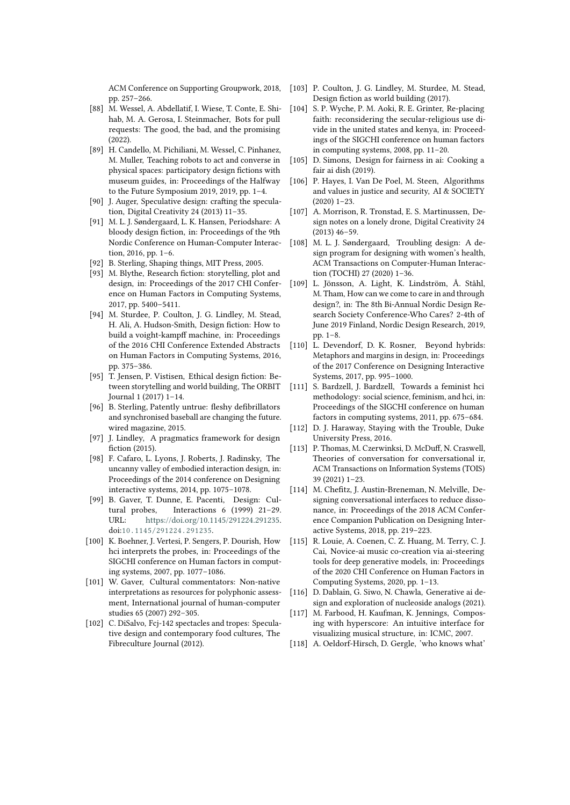ACM Conference on Supporting Groupwork, 2018, pp. 257–266.

- <span id="page-13-0"></span>[88] M. Wessel, A. Abdellatif, I. Wiese, T. Conte, E. Shihab, M. A. Gerosa, I. Steinmacher, Bots for pull requests: The good, the bad, and the promising (2022).
- <span id="page-13-1"></span>[89] H. Candello, M. Pichiliani, M. Wessel, C. Pinhanez, M. Muller, Teaching robots to act and converse in physical spaces: participatory design fictions with museum guides, in: Proceedings of the Halfway to the Future Symposium 2019, 2019, pp. 1–4.
- <span id="page-13-2"></span>[90] J. Auger, Speculative design: crafting the speculation, Digital Creativity 24 (2013) 11–35.
- <span id="page-13-3"></span>[91] M. L. J. Søndergaard, L. K. Hansen, Periodshare: A bloody design fiction, in: Proceedings of the 9th Nordic Conference on Human-Computer Interaction, 2016, pp. 1–6.
- <span id="page-13-4"></span>[92] B. Sterling, Shaping things, MIT Press, 2005.
- <span id="page-13-5"></span>[93] M. Blythe, Research fiction: storytelling, plot and design, in: Proceedings of the 2017 CHI Conference on Human Factors in Computing Systems, 2017, pp. 5400–5411.
- <span id="page-13-6"></span>[94] M. Sturdee, P. Coulton, J. G. Lindley, M. Stead, H. Ali, A. Hudson-Smith, Design fiction: How to build a voight-kampff machine, in: Proceedings of the 2016 CHI Conference Extended Abstracts on Human Factors in Computing Systems, 2016, pp. 375–386.
- <span id="page-13-7"></span>[95] T. Jensen, P. Vistisen, Ethical design fiction: Between storytelling and world building, The ORBIT Journal 1 (2017) 1–14.
- <span id="page-13-8"></span>[96] B. Sterling, Patently untrue: fleshy defibrillators and synchronised baseball are changing the future. wired magazine, 2015.
- <span id="page-13-9"></span>[97] J. Lindley, A pragmatics framework for design fiction (2015).
- <span id="page-13-10"></span>[98] F. Cafaro, L. Lyons, J. Roberts, J. Radinsky, The uncanny valley of embodied interaction design, in: Proceedings of the 2014 conference on Designing interactive systems, 2014, pp. 1075–1078.
- <span id="page-13-11"></span>[99] B. Gaver, T. Dunne, E. Pacenti, Design: Cultural probes, Interactions 6 (1999) 21–29. URL: [https://doi.org/10.1145/291224.291235.](https://doi.org/10.1145/291224.291235) doi:[10.1145/291224.291235](http://dx.doi.org/10.1145/291224.291235).
- <span id="page-13-12"></span>[100] K. Boehner, J. Vertesi, P. Sengers, P. Dourish, How hci interprets the probes, in: Proceedings of the SIGCHI conference on Human factors in computing systems, 2007, pp. 1077–1086.
- <span id="page-13-13"></span>[101] W. Gaver, Cultural commentators: Non-native interpretations as resources for polyphonic assessment, International journal of human-computer studies 65 (2007) 292–305.
- <span id="page-13-14"></span>[102] C. DiSalvo, Fcj-142 spectacles and tropes: Speculative design and contemporary food cultures, The Fibreculture Journal (2012).
- <span id="page-13-15"></span>[103] P. Coulton, J. G. Lindley, M. Sturdee, M. Stead, Design fiction as world building (2017).
- <span id="page-13-16"></span>[104] S. P. Wyche, P. M. Aoki, R. E. Grinter, Re-placing faith: reconsidering the secular-religious use divide in the united states and kenya, in: Proceedings of the SIGCHI conference on human factors in computing systems, 2008, pp. 11–20.
- <span id="page-13-17"></span>[105] D. Simons, Design for fairness in ai: Cooking a fair ai dish (2019).
- <span id="page-13-18"></span>[106] P. Hayes, I. Van De Poel, M. Steen, Algorithms and values in justice and security, AI & SOCIETY (2020) 1–23.
- <span id="page-13-19"></span>[107] A. Morrison, R. Tronstad, E. S. Martinussen, Design notes on a lonely drone, Digital Creativity 24 (2013) 46–59.
- <span id="page-13-20"></span>[108] M. L. J. Søndergaard, Troubling design: A design program for designing with women's health, ACM Transactions on Computer-Human Interaction (TOCHI) 27 (2020) 1–36.
- <span id="page-13-21"></span>[109] L. Jönsson, A. Light, K. Lindström, Å. Ståhl, M. Tham, How can we come to care in and through design?, in: The 8th Bi-Annual Nordic Design Research Society Conference-Who Cares? 2-4th of June 2019 Finland, Nordic Design Research, 2019, pp. 1–8.
- <span id="page-13-22"></span>[110] L. Devendorf, D. K. Rosner, Beyond hybrids: Metaphors and margins in design, in: Proceedings of the 2017 Conference on Designing Interactive Systems, 2017, pp. 995–1000.
- <span id="page-13-23"></span>[111] S. Bardzell, J. Bardzell, Towards a feminist hci methodology: social science, feminism, and hci, in: Proceedings of the SIGCHI conference on human factors in computing systems, 2011, pp. 675–684.
- <span id="page-13-24"></span>[112] D. J. Haraway, Staying with the Trouble, Duke University Press, 2016.
- <span id="page-13-25"></span>[113] P. Thomas, M. Czerwinksi, D. McDuff, N. Craswell, Theories of conversation for conversational ir, ACM Transactions on Information Systems (TOIS) 39 (2021) 1–23.
- <span id="page-13-26"></span>[114] M. Chefitz, J. Austin-Breneman, N. Melville, Designing conversational interfaces to reduce dissonance, in: Proceedings of the 2018 ACM Conference Companion Publication on Designing Interactive Systems, 2018, pp. 219–223.
- <span id="page-13-27"></span>[115] R. Louie, A. Coenen, C. Z. Huang, M. Terry, C. J. Cai, Novice-ai music co-creation via ai-steering tools for deep generative models, in: Proceedings of the 2020 CHI Conference on Human Factors in Computing Systems, 2020, pp. 1–13.
- <span id="page-13-28"></span>[116] D. Dablain, G. Siwo, N. Chawla, Generative ai design and exploration of nucleoside analogs (2021).
- <span id="page-13-29"></span>[117] M. Farbood, H. Kaufman, K. Jennings, Composing with hyperscore: An intuitive interface for visualizing musical structure, in: ICMC, 2007.
- <span id="page-13-30"></span>[118] A. Oeldorf-Hirsch, D. Gergle, 'who knows what'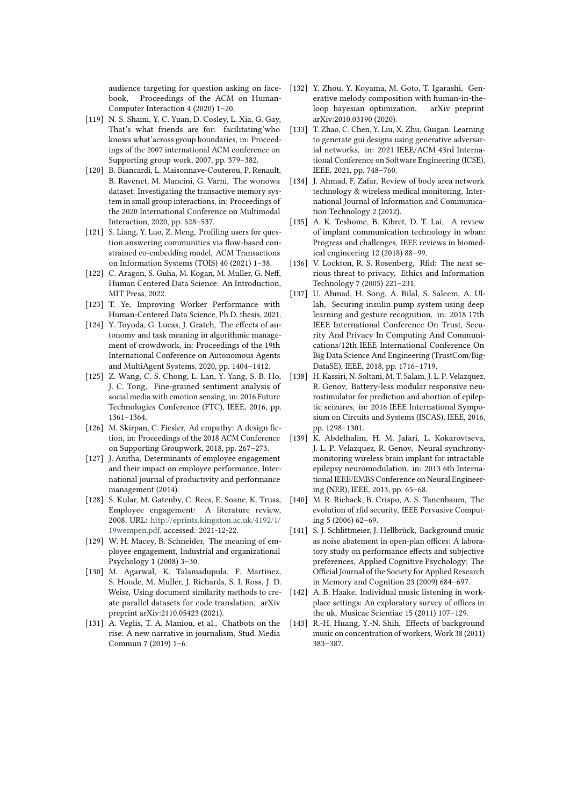audience targeting for question asking on facebook, Proceedings of the ACM on Human-Computer Interaction 4 (2020) 1–20.

- <span id="page-14-0"></span>[119] N. S. Shami, Y. C. Yuan, D. Cosley, L. Xia, G. Gay, That's what friends are for: facilitating'who knows what'across group boundaries, in: Proceedings of the 2007 international ACM conference on Supporting group work, 2007, pp. 379–382.
- <span id="page-14-1"></span>[120] B. Biancardi, L. Maisonnave-Couterou, P. Renault, B. Ravenet, M. Mancini, G. Varni, The wonowa dataset: Investigating the transactive memory system in small group interactions, in: Proceedings of the 2020 International Conference on Multimodal Interaction, 2020, pp. 528–537.
- <span id="page-14-2"></span>[121] S. Liang, Y. Luo, Z. Meng, Profiling users for question answering communities via flow-based constrained co-embedding model, ACM Transactions on Information Systems (TOIS) 40 (2021) 1–38.
- <span id="page-14-3"></span>[122] C. Aragon, S. Guha, M. Kogan, M. Muller, G. Neff, Human Centered Data Science: An Introduction, MIT Press, 2022.
- <span id="page-14-4"></span>[123] T. Ye, Improving Worker Performance with Human-Centered Data Science, Ph.D. thesis, 2021.
- <span id="page-14-5"></span>[124] Y. Toyoda, G. Lucas, J. Gratch, The effects of autonomy and task meaning in algorithmic management of crowdwork, in: Proceedings of the 19th International Conference on Autonomous Agents and MultiAgent Systems, 2020, pp. 1404–1412.
- <span id="page-14-6"></span>[125] Z. Wang, C. S. Chong, L. Lan, Y. Yang, S. B. Ho, J. C. Tong, Fine-grained sentiment analysis of social media with emotion sensing, in: 2016 Future Technologies Conference (FTC), IEEE, 2016, pp. 1361–1364.
- <span id="page-14-7"></span>[126] M. Skirpan, C. Fiesler, Ad empathy: A design fiction, in: Proceedings of the 2018 ACM Conference on Supporting Groupwork, 2018, pp. 267–273.
- <span id="page-14-8"></span>[127] J. Anitha, Determinants of employee engagement and their impact on employee performance, International journal of productivity and performance management (2014).
- <span id="page-14-9"></span>[128] S. Kular, M. Gatenby, C. Rees, E. Soane, K. Truss, Employee engagement: A literature review, 2008. URL: [http://eprints.kingston.ac.uk/4192/1/](http://eprints.kingston.ac.uk/4192/1/19wempen.pdf) [19wempen.pdf,](http://eprints.kingston.ac.uk/4192/1/19wempen.pdf) accessed: 2021-12-22.
- <span id="page-14-10"></span>[129] W. H. Macey, B. Schneider, The meaning of employee engagement, Industrial and organizational Psychology 1 (2008) 3–30.
- <span id="page-14-11"></span>[130] M. Agarwal, K. Talamadupula, F. Martinez, S. Houde, M. Muller, J. Richards, S. I. Ross, J. D. Weisz, Using document similarity methods to create parallel datasets for code translation, arXiv preprint arXiv:2110.05423 (2021).
- <span id="page-14-12"></span>[131] A. Veglis, T. A. Maniou, et al., Chatbots on the rise: A new narrative in journalism, Stud. Media Commun 7 (2019) 1–6.
- <span id="page-14-13"></span>[132] Y. Zhou, Y. Koyama, M. Goto, T. Igarashi, Generative melody composition with human-in-theloop bayesian optimization, arXiv preprint arXiv:2010.03190 (2020).
- <span id="page-14-14"></span>[133] T. Zhao, C. Chen, Y. Liu, X. Zhu, Guigan: Learning to generate gui designs using generative adversarial networks, in: 2021 IEEE/ACM 43rd International Conference on Software Engineering (ICSE), IEEE, 2021, pp. 748–760.
- <span id="page-14-15"></span>[134] J. Ahmad, F. Zafar, Review of body area network technology & wireless medical monitoring, International Journal of Information and Communication Technology 2 (2012).
- <span id="page-14-16"></span>[135] A. K. Teshome, B. Kibret, D. T. Lai, A review of implant communication technology in wban: Progress and challenges, IEEE reviews in biomedical engineering 12 (2018) 88–99.
- <span id="page-14-17"></span>[136] V. Lockton, R. S. Rosenberg, Rfid: The next serious threat to privacy, Ethics and Information Technology 7 (2005) 221–231.
- <span id="page-14-18"></span>[137] U. Ahmad, H. Song, A. Bilal, S. Saleem, A. Ullah, Securing insulin pump system using deep learning and gesture recognition, in: 2018 17th IEEE International Conference On Trust, Security And Privacy In Computing And Communications/12th IEEE International Conference On Big Data Science And Engineering (TrustCom/Big-DataSE), IEEE, 2018, pp. 1716–1719.
- <span id="page-14-19"></span>[138] H. Kassiri, N. Soltani, M. T. Salam, J. L. P. Velazquez, R. Genov, Battery-less modular responsive neurostimulator for prediction and abortion of epileptic seizures, in: 2016 IEEE International Symposium on Circuits and Systems (ISCAS), IEEE, 2016, pp. 1298–1301.
- <span id="page-14-20"></span>[139] K. Abdelhalim, H. M. Jafari, L. Kokarovtseva, J. L. P. Velazquez, R. Genov, Neural synchronymonitoring wireless brain implant for intractable epilepsy neuromodulation, in: 2013 6th International IEEE/EMBS Conference on Neural Engineering (NER), IEEE, 2013, pp. 65–68.
- <span id="page-14-21"></span>[140] M. R. Rieback, B. Crispo, A. S. Tanenbaum, The evolution of rfid security, IEEE Pervasive Computing 5 (2006) 62–69.
- <span id="page-14-22"></span>[141] S. J. Schlittmeier, J. Hellbrück, Background music as noise abatement in open-plan offices: A laboratory study on performance effects and subjective preferences, Applied Cognitive Psychology: The Official Journal of the Society for Applied Research in Memory and Cognition 23 (2009) 684–697.
- <span id="page-14-23"></span>[142] A. B. Haake, Individual music listening in workplace settings: An exploratory survey of offices in the uk, Musicae Scientiae 15 (2011) 107–129.
- <span id="page-14-24"></span>[143] R.-H. Huang, Y.-N. Shih, Effects of background music on concentration of workers, Work 38 (2011) 383–387.